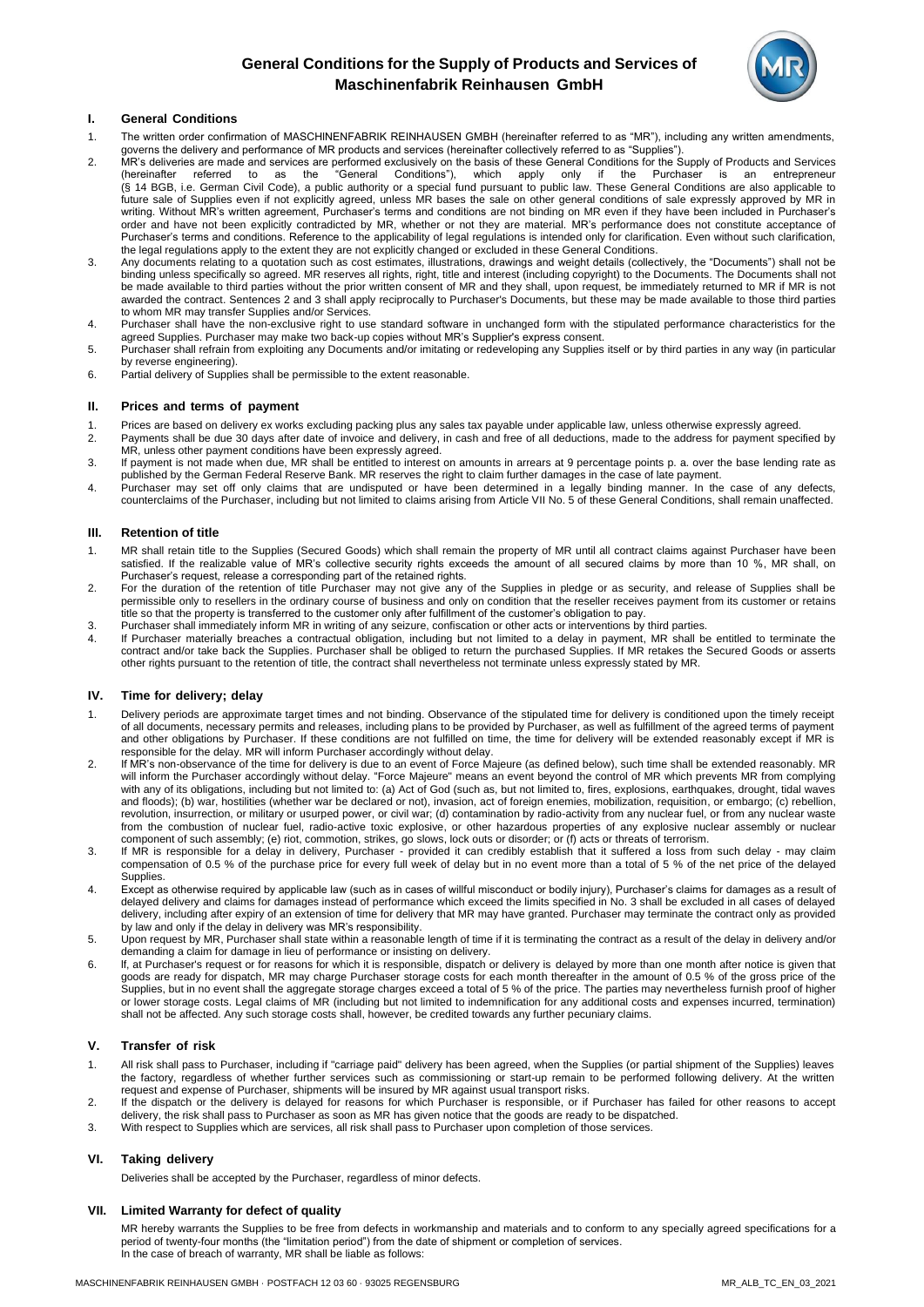# **General Conditions for the Supply of Products and Services of Maschinenfabrik Reinhausen GmbH**



# **I. General Conditions**

- 1. The written order confirmation of MASCHlNENFABRIK REINHAUSEN GMBH (hereinafter referred to as "MR"), including any written amendments, governs the delivery and performance of MR products and services (hereinafter collectively referred to as "Supplies").
- 2. MR's deliveries are made and services are performed exclusively on the basis of these General Conditions for the Supply of Products and Services<br>(hereinafter referred to as the "General Conditions"), which apply only if (hereinafter referred to as the "General Conditions"), which apply only if the Purchaser is an entrepreneur (§ 14 BGB, i.e. German Civil Code), a public authority or a special fund pursuant to public law. These General Conditions are also applicable to future sale of Supplies even if not explicitly agreed, unless MR bases the sale on other general conditions of sale expressly approved by MR in writing. Without MR's written agreement, Purchaser's terms and conditions are not binding on MR even if they have been included in Purchaser's order and have not been explicitly contradicted by MR, whether or not they are material. MR's performance does not constitute acceptance of Purchaser's terms and conditions. Reference to the applicability of legal regulations is intended only for clarification. Even without such clarification, the legal regulations apply to the extent they are not explicitly changed or excluded in these General Conditions.
- 3. Any documents relating to a quotation such as cost estimates, illustrations, drawings and weight details (collectively, the "Documents") shall not be binding unless specifically so agreed. MR reserves all rights, right, title and interest (including copyright) to the Documents. The Documents shall not be made available to third parties without the prior written consent of MR and they shall, upon request, be immediately returned to MR if MR is not awarded the contract. Sentences 2 and 3 shall apply reciprocally to Purchaser's Documents, but these may be made available to those third parties to whom MR may transfer Supplies and/or Services.
- 4. Purchaser shall have the non-exclusive right to use standard software in unchanged form with the stipulated performance characteristics for the agreed Supplies. Purchaser may make two back-up copies without MR's Supplier's express consent.
- 5. Purchaser shall refrain from exploiting any Documents and/or imitating or redeveloping any Supplies itself or by third parties in any way (in particular by reverse engineering).
- 6. Partial delivery of Supplies shall be permissible to the extent reasonable.

### **II. Prices and terms of payment**

- 1. Prices are based on delivery ex works excluding packing plus any sales tax payable under applicable law, unless otherwise expressly agreed.
- 2. Payments shall be due 30 days after date of invoice and delivery, in cash and free of all deductions, made to the address for payment specified by MR, unless other payment conditions have been expressly agreed.
- 3. If payment is not made when due, MR shall be entitled to interest on amounts in arrears at 9 percentage points p. a. over the base lending rate as published by the German Federal Reserve Bank. MR reserves the right to claim further damages in the case of late payment.
- 4. Purchaser may set off only claims that are undisputed or have been determined in a legally binding manner. In the case of any defects, counterclaims of the Purchaser, including but not limited to claims arising from Article VII No. 5 of these General Conditions, shall remain unaffected.

### **III. Retention of title**

- 1. MR shall retain title to the Supplies (Secured Goods) which shall remain the property of MR until all contract claims against Purchaser have been satisfied. If the realizable value of MR's collective security rights exceeds the amount of all secured claims by more than 10 %, MR shall, on Purchaser's request, release a corresponding part of the retained rights.
- 2. For the duration of the retention of title Purchaser may not give any of the Supplies in pledge or as security, and release of Supplies shall be permissible only to resellers in the ordinary course of business and only on condition that the reseller receives payment from its customer or retains title so that the property is transferred to the customer only after fulfillment of the customer's obligation to pay.
- 3. Purchaser shall immediately inform MR in writing of any seizure, confiscation or other acts or interventions by third parties.
- 4. If Purchaser materially breaches a contractual obligation, including but not limited to a delay in payment, MR shall be entitled to terminate the contract and/or take back the Supplies. Purchaser shall be obliged to return the purchased Supplies. If MR retakes the Secured Goods or asserts other rights pursuant to the retention of title, the contract shall nevertheless not terminate unless expressly stated by MR.

### **IV. Time for delivery; delay**

- 1. Delivery periods are approximate target times and not binding. Observance of the stipulated time for delivery is conditioned upon the timely receipt of all documents, necessary permits and releases, including plans to be provided by Purchaser, as well as fulfillment of the agreed terms of payment and other obligations by Purchaser. If these conditions are not fulfilled on time, the time for delivery will be extended reasonably except if MR is responsible for the delay. MR will inform Purchaser accordingly without delay.
- 2. If MR's non-observance of the time for delivery is due to an event of Force Majeure (as defined below), such time shall be extended reasonably. MR will inform the Purchaser accordingly without delay. "Force Majeure" means an event beyond the control of MR which prevents MR from complying with any of its obligations, including but not limited to: (a) Act of God (such as, but not limited to, fires, explosions, earthquakes, drought, tidal waves and floods); (b) war, hostilities (whether war be declared or not), invasion, act of foreign enemies, mobilization, requisition, or embargo; (c) rebellion, revolution, insurrection, or military or usurped power, or civil war; (d) contamination by radio-activity from any nuclear fuel, or from any nuclear waste from the combustion of nuclear fuel, radio-active toxic explosive, or other hazardous properties of any explosive nuclear assembly or nuclear component of such assembly; (e) riot, commotion, strikes, go slows, lock outs or disorder; or (f) acts or threats of terrorism.
- 3. If MR is responsible for a delay in delivery, Purchaser provided it can credibly establish that it suffered a loss from such delay may claim compensation of 0.5 % of the purchase price for every full week of delay but in no event more than a total of 5 % of the net price of the delayed Supplies.
- 4. Except as otherwise required by applicable law (such as in cases of willful misconduct or bodily injury), Purchaser's claims for damages as a result of delayed delivery and claims for damages instead of performance which exceed the limits specified in No. 3 shall be excluded in all cases of delayed delivery, including after expiry of an extension of time for delivery that MR may have granted. Purchaser may terminate the contract only as provided by law and only if the delay in delivery was MR's responsibility.
- 5. Upon request by MR, Purchaser shall state within a reasonable length of time if it is terminating the contract as a result of the delay in delivery and/or demanding a claim for damage in lieu of performance or insisting on delivery.
- 6. lf, at Purchaser's request or for reasons for which it is responsible, dispatch or delivery is delayed by more than one month after notice is given that goods are ready for dispatch, MR may charge Purchaser storage costs for each month thereafter in the amount of 0.5 % of the gross price of the Supplies, but in no event shall the aggregate storage charges exceed a total of 5 % of the price. The parties may nevertheless furnish proof of higher or lower storage costs. Legal claims of MR (including but not limited to indemnification for any additional costs and expenses incurred, termination) shall not be affected. Any such storage costs shall, however, be credited towards any further pecuniary claims.

### **V. Transfer of risk**

- 1. All risk shall pass to Purchaser, including if "carriage paid" delivery has been agreed, when the Supplies (or partial shipment of the Supplies) leaves the factory, regardless of whether further services such as commissioning or start-up remain to be performed following delivery. At the written request and expense of Purchaser, shipments will be insured by MR against usual transport risks.
- 2. If the dispatch or the delivery is delayed for reasons for which Purchaser is responsible, or if Purchaser has failed for other reasons to accept delivery, the risk shall pass to Purchaser as soon as MR has given notice that the goods are ready to be dispatched.
- 3. With respect to Supplies which are services, all risk shall pass to Purchaser upon completion of those services.

### **VI. Taking delivery**

Deliveries shall be accepted by the Purchaser, regardless of minor defects.

### **VII. Limited Warranty for defect of quality**

MR hereby warrants the Supplies to be free from defects in workmanship and materials and to conform to any specially agreed specifications for a period of twenty-four months (the "limitation period") from the date of shipment or completion of services. In the case of breach of warranty, MR shall be liable as follows: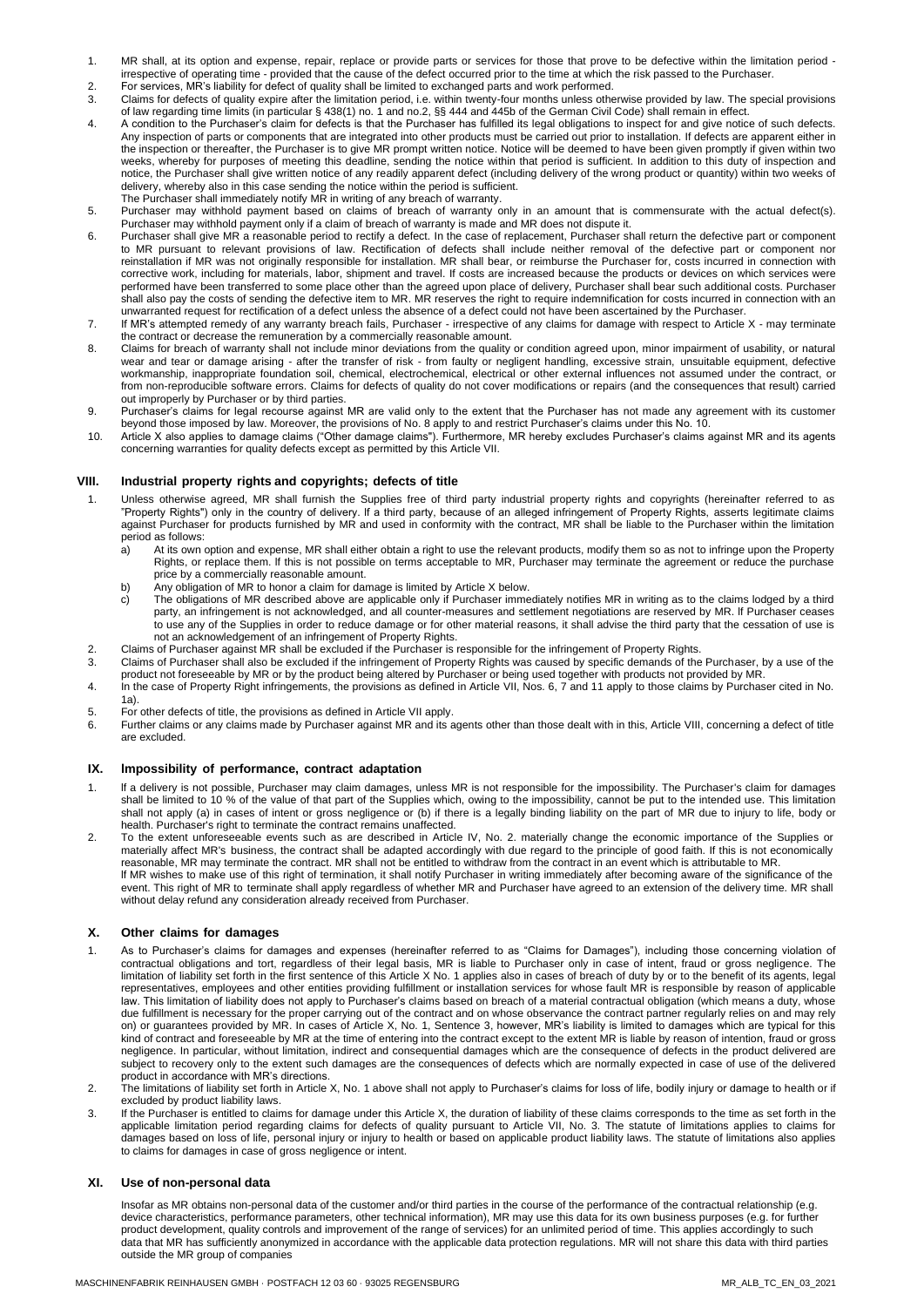- 1. MR shall, at its option and expense, repair, replace or provide parts or services for those that prove to be defective within the limitation period irrespective of operating time - provided that the cause of the defect occurred prior to the time at which the risk passed to the Purchaser.
- 2. For services, MR's liability for defect of quality shall be limited to exchanged parts and work performed.<br>2. Claims for defects of quality expire after the limitation period i.e. within twenty-four months unless other
- 3. Claims for defects of quality expire after the limitation period, i.e. within twenty-four months unless otherwise provided by law. The special provisions of law regarding time limits (in particular § 438(1) no. 1 and no.2, §§ 444 and 445b of the German Civil Code) shall remain in effect.
- 4. A condition to the Purchaser's claim for defects is that the Purchaser has fulfilled its legal obligations to inspect for and give notice of such defects. Any inspection of parts or components that are integrated into other products must be carried out prior to installation. If defects are apparent either in the inspection or thereafter, the Purchaser is to give MR prompt written notice. Notice will be deemed to have been given promptly if given within two weeks, whereby for purposes of meeting this deadline, sending the notice within that period is sufficient. In addition to this duty of inspection and notice, the Purchaser shall give written notice of any readily apparent defect (including delivery of the wrong product or quantity) within two weeks of delivery, whereby also in this case sending the notice within the period is sufficient. The Purchaser shall immediately notify MR in writing of any breach of warranty.
- 5. Purchaser may withhold payment based on claims of breach of warranty only in an amount that is commensurate with the actual defect(s). Purchaser may withhold payment only if a claim of breach of warranty is made and MR does not dispute it.
- 6. Purchaser shall give MR a reasonable period to rectify a defect. In the case of replacement, Purchaser shall return the defective part or component to MR pursuant to relevant provisions of law. Rectification of defects shall include neither removal of the defective part or component nor reinstallation if MR was not originally responsible for installation. MR shall bear, or reimburse the Purchaser for, costs incurred in connection with corrective work, including for materials, labor, shipment and travel. If costs are increased because the products or devices on which services were performed have been transferred to some place other than the agreed upon place of delivery, Purchaser shall bear such additional costs. Purchaser shall also pay the costs of sending the defective item to MR. MR reserves the right to require indemnification for costs incurred in connection with an unwarranted request for rectification of a defect unless the absence of a defect could not have been ascertained by the Purchaser.
- 7. If MR's attempted remedy of any warranty breach fails, Purchaser irrespective of any claims for damage with respect to Article X may terminate the contract or decrease the remuneration by a commercially reasonable amount.
- 8. Claims for breach of warranty shall not include minor deviations from the quality or condition agreed upon, minor impairment of usability, or natural wear and tear or damage arising - after the transfer of risk - from faulty or negligent handling, excessive strain, unsuitable equipment, defective workmanship, inappropriate foundation soil, chemical, electrochemical, electrical or other external influences not assumed under the contract, or from non-reproducible software errors. Claims for defects of quality do not cover modifications or repairs (and the consequences that result) carried out improperly by Purchaser or by third parties.
- 9. Purchaser's claims for legal recourse against MR are valid only to the extent that the Purchaser has not made any agreement with its customer beyond those imposed by law. Moreover, the provisions of No. 8 apply to and restrict Purchaser's claims under this No. 10.
- 10. Article X also applies to damage claims ("Other damage claims"). Furthermore, MR hereby excludes Purchaser's claims against MR and its agents concerning warranties for quality defects except as permitted by this Article VII.

# **VIII. Industrial property rights and copyrights; defects of title**

- 1. Unless otherwise agreed, MR shall furnish the Supplies free of third party industrial property rights and copyrights (hereinafter referred to as "Property Rights") only in the country of delivery. lf a third party, because of an alleged infringement of Property Rights, asserts legitimate claims against Purchaser for products furnished by MR and used in conformity with the contract, MR shall be liable to the Purchaser within the limitation period as follows:<br>a) At its own of
	- a) At its own option and expense, MR shall either obtain a right to use the relevant products, modify them so as not to infringe upon the Property Rights, or replace them. lf this is not possible on terms acceptable to MR, Purchaser may terminate the agreement or reduce the purchase price by a commercially reasonable amount.
	- b) Any obligation of MR to honor a claim for damage is limited by Article X below.
	- c) The obligations of MR described above are applicable only if Purchaser immediately notifies MR in writing as to the claims lodged by a third party, an infringement is not acknowledged, and all counter-measures and settlement negotiations are reserved by MR. lf Purchaser ceases to use any of the Supplies in order to reduce damage or for other material reasons, it shall advise the third party that the cessation of use is not an acknowledgement of an infringement of Property Rights.
- 2. Claims of Purchaser against MR shall be excluded if the Purchaser is responsible for the infringement of Property Rights.<br>3. Claims of Purchaser shall also be excluded if the infringement of Property Rights was caused b
- 3. Claims of Purchaser shall also be excluded if the infringement of Property Rights was caused by specific demands of the Purchaser, by a use of the product not foreseeable by MR or by the product being altered by Purchaser or being used together with products not provided by MR.
- 4. In the case of Property Right infringements, the provisions as defined in Article VII, Nos. 6, 7 and 11 apply to those claims by Purchaser cited in No. 1a).
- 5. For other defects of title, the provisions as defined in Article VII apply.
- 6. Further claims or any claims made by Purchaser against MR and its agents other than those dealt with in this, Article VIII, concerning a defect of title are excluded.

### **IX. lmpossibility of performance, contract adaptation**

- 1. lf a delivery is not possible, Purchaser may claim damages, unless MR is not responsible for the impossibility. The Purchaser's claim for damages shall be limited to 10 % of the value of that part of the Supplies which, owing to the impossibility, cannot be put to the intended use. This limitation shall not apply (a) in cases of intent or gross negligence or (b) if there is a legally binding liability on the part of MR due to injury to life, body or health. Purchaser's right to terminate the contract remains unaffected.
- 2. To the extent unforeseeable events such as are described in Article IV, No. 2. materially change the economic importance of the Supplies or materially affect MR's business, the contract shall be adapted accordingly with due regard to the principle of good faith. If this is not economically reasonable, MR may terminate the contract. MR shall not be entitled to withdraw from the contract in an event which is attributable to MR. lf MR wishes to make use of this right of termination, it shall notify Purchaser in writing immediately after becoming aware of the significance of the event. This right of MR to terminate shall apply regardless of whether MR and Purchaser have agreed to an extension of the delivery time. MR shall without delay refund any consideration already received from Purchaser.

### **X. Other claims for damages**

- 1. As to Purchaser's claims for damages and expenses (hereinafter referred to as "Claims for Damages"), including those concerning violation of contractual obligations and tort, regardless of their legal basis, MR is liable to Purchaser only in case of intent, fraud or gross negligence. The limitation of liability set forth in the first sentence of this Article X No. 1 applies also in cases of breach of duty by or to the benefit of its agents, legal representatives, employees and other entities providing fulfillment or installation services for whose fault MR is responsible by reason of applicable law. This limitation of liability does not apply to Purchaser's claims based on breach of a material contractual obligation (which means a duty, whose due fulfillment is necessary for the proper carrying out of the contract and on whose observance the contract partner regularly relies on and may rely on) or guarantees provided by MR. In cases of Article X, No. 1, Sentence 3, however, MR's liability is limited to damages which are typical for this kind of contract and foreseeable by MR at the time of entering into the contract except to the extent MR is liable by reason of intention, fraud or gross negligence. In particular, without limitation, indirect and consequential damages which are the consequence of defects in the product delivered are subject to recovery only to the extent such damages are the consequences of defects which are normally expected in case of use of the delivered product in accordance with MR's directions.
- 2. The limitations of liability set forth in Article X, No. 1 above shall not apply to Purchaser's claims for loss of life, bodily injury or damage to health or if excluded by product liability laws.
- 3. If the Purchaser is entitled to claims for damage under this Article X, the duration of liability of these claims corresponds to the time as set forth in the applicable limitation period regarding claims for defects of quality pursuant to Article VII, No. 3. The statute of limitations applies to claims for damages based on loss of life, personal injury or injury to health or based on applicable product liability laws. The statute of limitations also applies to claims for damages in case of gross negligence or intent.

# **XI. Use of non-personal data**

Insofar as MR obtains non-personal data of the customer and/or third parties in the course of the performance of the contractual relationship (e.g. device characteristics, performance parameters, other technical information), MR may use this data for its own business purposes (e.g. for further product development, quality controls and improvement of the range of services) for an unlimited period of time. This applies accordingly to such data that MR has sufficiently anonymized in accordance with the applicable data protection regulations. MR will not share this data with third parties outside the MR group of companies